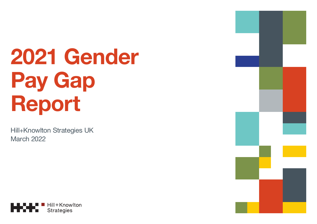# **2021 Gender Pay Gap Report**

Hill+Knowlton Strategies UK March 2022



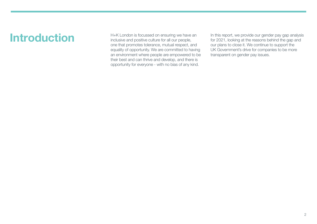#### **Introduction**

H+K London is focussed on ensuring we have an inclusive and positive culture for all our people, one that promotes tolerance, mutual respect, and equality of opportunity. We are committed to having an environment where people are empowered to be their best and can thrive and develop, and there is opportunity for everyone - with no bias of any kind.

In this report, we provide our gender pay gap analysis for 2021, looking at the reasons behind the gap and our plans to close it. We continue to support the UK Government's drive for companies to be more transparent on gender pay issues.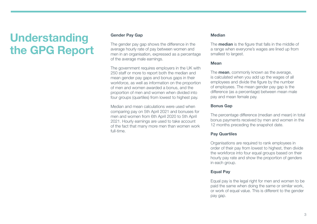## **Understanding the GPG Report**

#### **Gender Pay Gap**

The gender pay gap shows the difference in the average hourly rate of pay between women and men in an organisation, expressed as a percentage of the average male earnings.

The government requires employers in the UK with 250 staff or more to report both the median and mean gender pay gaps and bonus gaps in their workforce, as well as information on the proportion of men and women awarded a bonus, and the proportion of men and women when divided into four groups (quartiles) from lowest to highest pay.

Median and mean calculations were used when comparing pay on 5th April 2021 and bonuses for men and women from 6th April 2020 to 5th April 2021. Hourly earnings are used to take account of the fact that many more men than women work full-time.

#### **Median**

The **median** is the figure that falls in the middle of a range when everyone's wages are lined up from smallest to largest.

#### **Mean**

The **mean**, commonly known as the average, is calculated when you add up the wages of all employees and divide the figure by the number of employees. The mean gender pay gap is the difference (as a percentage) between mean male pay and mean female pay.

#### **Bonus Gap**

The percentage difference (median and mean) in total bonus payments received by men and women in the 12 months preceding the snapshot date.

#### **Pay Quartiles**

Organisations are required to rank employees in order of their pay from lowest to highest, then divide the workforce into four equal groups based on their hourly pay rate and show the proportion of genders in each group.

#### **Equal Pay**

Equal pay is the legal right for men and women to be paid the same when doing the same or similar work, or work of equal value. This is different to the gender pay gap.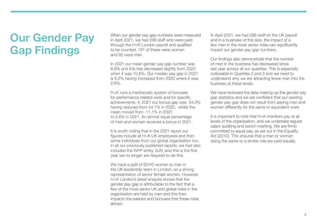### **Our Gender Pay Gap Findings**

When our gender pay gap numbers were measured in April 2021, we had 286 staff who were paid through the H+K London payroll and qualified to be counted, 191 of these were women and 95 were men.

In 2021 our mean gender pay gap number was 8.9% and this has decreased slightly from 2020 when it was 10.8%. Our median pay gap in 2021 is 8.5% having increased from 2020 where it was 2.6%.

H+K runs a meritocratic system of bonuses for performance related work and for specific achievements. In 2021 our bonus gap was 34.3% having reduced from 54.1% in 2020, whilst the mean moved from -11.1% in 2020 to 5.6% in 2021. An almost equal percentage of men and women received a bonus in 2021.

It is worth noting that in the 2021 report our figures include all H+K UK employees and then some individuals from our global organisation too. In all our previously published reports, we had also included the WPP entity, SJR, and this is the first year we no longer are required to do this.

We have a split of 60/40 women to men in the UK leadership team in London, so a strong representation of senior female women. However, H+K London's latest analysis shows that the gender pay gap is attributable to the fact that a few of the most senior UK and global roles in the organisation are held by men and this then impacts the salaries and bonuses that these roles attract.

In April 2021, we had 286 staff on the UK payroll and in a business of this size, the impact of a few men in the most senior roles can significantly impact our gender pay gap numbers.

Our findings also demonstrate that the number of men in the business has decreased since last year across all our quartiles. This is especially noticeable in Quartiles 2 and 3 and we need to understand why we are attracting fewer men into the business at these levels.

We have reviewed the data making up the gender pay gap statistics and we are confident that our existing gender pay gap does not result from paying men and women differently for the same or equivalent work.

It is important to note that H+K monitors pay at all levels of the organisation, and we undertake regular salary auditing and bench marking. We are firmly committed to equal pay, as set out in the Equality Act (2010). This ensures that a man or woman doing the same or a similar role are paid equally.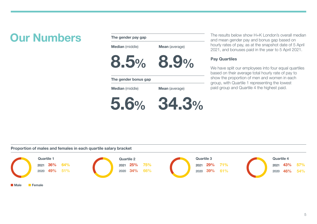### **Our Numbers**

| The gender pay gap     |                       |  |  |
|------------------------|-----------------------|--|--|
| <b>Median</b> (middle) | <b>Mean</b> (average) |  |  |
| 8.5%                   | 8.9%                  |  |  |
| The gender bonus gap   |                       |  |  |
| <b>Median</b> (middle) | <b>Mean</b> (average) |  |  |
| 5.6%                   | 34.3%                 |  |  |

The results below show H+K London's overall median and mean gender pay and bonus gap based on hourly rates of pay, as at the snapshot date of 5 April 2021, and bonuses paid in the year to 5 April 2021.

#### **Pay Quartiles**

We have split our employees into four equal quartiles based on their average total hourly rate of pay to show the proportion of men and women in each group, with Quartile 1 representing the lowest paid group and Quartile 4 the highest paid.

**Proportion of males and females in each quartile salary bracket**

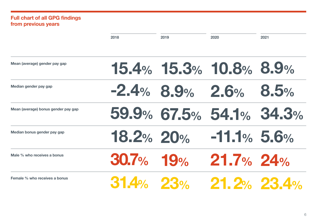#### **Full chart of all GPG findings from previous years**

|                                     | 2018         | 2019 | 2020                    | 2021 |
|-------------------------------------|--------------|------|-------------------------|------|
| Mean (average) gender pay gap       |              |      | 15.4% 15.3% 10.8% 8.9%  |      |
| Median gender pay gap               |              |      | $-2.4\%$ 8.9% 2.6% 8.5% |      |
| Mean (average) bonus gender pay gap |              |      | 59.9% 67.5% 54.1% 34.3% |      |
| Median bonus gender pay gap         | 18.2% 20%    |      | $-11.1%$ 5.6%           |      |
| Male % who receives a bonus         | $30.7\%$ 19% |      | $21.7\%$ 24%            |      |
| Female % who receives a bonus       | $31.4%$ 23%  |      | $21.2%$ 23.4%           |      |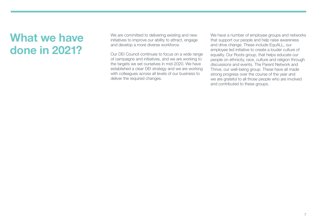### **What we have done in 2021?**

We are committed to delivering existing and new initiatives to improve our ability to attract, engage and develop a more diverse workforce.

Our DEI Council continues to focus on a wide range of campaigns and initiatives, and we are working to the targets we set ourselves in mid-2020. We have established a clear DEI strategy and we are working with colleagues across all levels of our business to deliver the required changes.

We have a number of employee groups and networks that support our people and help raise awareness and drive change. These include EquALL, our employee led initiative to create a louder culture of equality. Our Roots group, that helps educate our people on ethnicity, race, culture and religion through discussions and events. The Parent Network and Thrive, our well-being group. These have all made strong progress over the course of the year and we are grateful to all those people who are involved and contributed to these groups.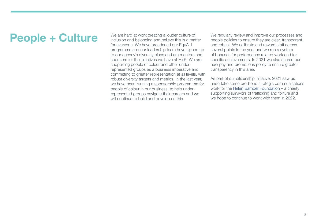### **People + Culture**

We are hard at work creating a louder culture of inclusion and belonging and believe this is a matter for everyone. We have broadened our EquALL programme and our leadership team have signed up to our agency's diversity plans and are mentors and sponsors for the initiatives we have at H+K. We are supporting people of colour and other underrepresented groups as a business imperative and committing to greater representation at all levels, with robust diversity targets and metrics. In the last year, we have been running a sponsorship programme for people of colour in our business, to help underrepresented groups navigate their careers and we will continue to build and develop on this.

We regularly review and improve our processes and people policies to ensure they are clear, transparent, and robust. We calibrate and reward staff across several points in the year and we run a system of bonuses for performance related work and for specific achievements. In 2021 we also shared our new pay and promotions policy to ensure greater transparency in this area.

As part of our citizenship initiative, 2021 saw us undertake some pro-bono strategic communications work for the Helen Bamber Foundation – a charity supporting survivors of trafficking and torture and we hope to continue to work with them in 2022.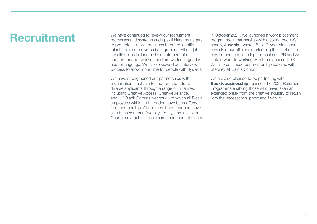### **Recruitment**

We have continued to review our recruitment processes and systems and upskill hiring managers to promote inclusive practices to better identify talent from more diverse backgrounds. All our job specifications include a clear statement of our support for agile working and are written in gender neutral language. We also reviewed our interview process to allow more time for people with dyslexia.

We have strengthened our partnerships with organisations that aim to support and attract diverse applicants through a range of initiatives, including Creative Access, Creative Alliance, and UK Black Comms Network – of which all Black employees within H+K London have been offered free membership. All our recruitment partners have also been sent our Diversity, Equity, and Inclusion Charter as a guide to our recruitment commitments. In October 2021, we launched a work placement programme in partnership with a young people's charity, **Juvenis**, where 15 to 17-year-olds spent a week in our offices experiencing their first office environment and learning the basics of PR and we look forward to working with them again in 2022. We also continued our mentorship scheme with Stepney All Saints School.

We are also pleased to be partnering with **Backtobusinesship** again on the 2022 Returners Programme enabling those who have taken an extended break from the creative industry to return with the necessary support and flexibility.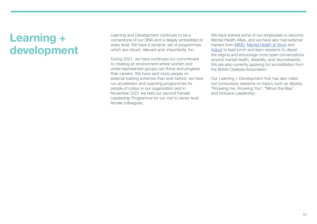### **Learning + development**

Learning and Development continues to be a cornerstone of our DNA and is deeply embedded at every level. We have a dynamic set of programmes which are robust, relevant and, importantly, fun.

During 2021, we have continued our commitment to creating an environment where women and under-represented groups can thrive and progress their careers. We have sent more people on external training schemes than ever before; we have run accelerator and coaching programmes for people of colour in our organization and in November 2021 we held our second Female Leadership Programme for our mid to senior level female colleagues.

We have trained some of our employees to become Mental Health Allies, and we have also had external trainers from MIND, Mental Health at Work and Adjust to lead lunch and learn sessions to dispel the stigma and encourage more open conversations around mental health, disability, and neurodiversity. We are also currently applying for accreditation from the British Dyslexia Association.

Our Learning + Development Hub has also rolled out compulsory sessions on topics such as allyship, "Knowing me, Knowing You", "Minus the Bias", and Inclusive Leadership.